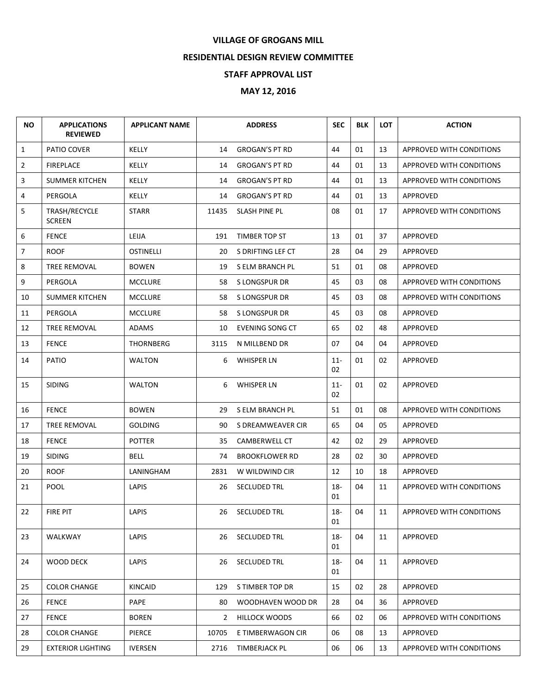## **VILLAGE OF GROGANS MILL**

## **RESIDENTIAL DESIGN REVIEW COMMITTEE**

## **STAFF APPROVAL LIST**

## **MAY 12, 2016**

| <b>NO</b>      | <b>APPLICATIONS</b><br><b>REVIEWED</b> | <b>APPLICANT NAME</b> |              | <b>ADDRESS</b>         | <b>SEC</b>   | <b>BLK</b> | <b>LOT</b> | <b>ACTION</b>                   |
|----------------|----------------------------------------|-----------------------|--------------|------------------------|--------------|------------|------------|---------------------------------|
| $\mathbf{1}$   | PATIO COVER                            | KELLY                 | 14           | <b>GROGAN'S PT RD</b>  | 44           | 01         | 13         | APPROVED WITH CONDITIONS        |
| $\overline{2}$ | <b>FIREPLACE</b>                       | KELLY                 | 14           | <b>GROGAN'S PT RD</b>  | 44           | 01         | 13         | APPROVED WITH CONDITIONS        |
| 3              | <b>SUMMER KITCHEN</b>                  | KELLY                 | 14           | <b>GROGAN'S PT RD</b>  | 44           | 01         | 13         | <b>APPROVED WITH CONDITIONS</b> |
| 4              | PERGOLA                                | KELLY                 | 14           | <b>GROGAN'S PT RD</b>  | 44           | 01         | 13         | APPROVED                        |
| 5              | TRASH/RECYCLE<br><b>SCREEN</b>         | <b>STARR</b>          | 11435        | SLASH PINE PL          | 08           | 01         | 17         | APPROVED WITH CONDITIONS        |
| 6              | <b>FENCE</b>                           | LEIJA                 | 191          | TIMBER TOP ST          | 13           | 01         | 37         | APPROVED                        |
| $\overline{7}$ | <b>ROOF</b>                            | <b>OSTINELLI</b>      | 20           | S DRIFTING LEF CT      | 28           | 04         | 29         | APPROVED                        |
| 8              | TREE REMOVAL                           | <b>BOWEN</b>          | 19           | S ELM BRANCH PL        | 51           | 01         | 08         | APPROVED                        |
| 9              | PERGOLA                                | <b>MCCLURE</b>        | 58           | S LONGSPUR DR          | 45           | 03         | 08         | APPROVED WITH CONDITIONS        |
| 10             | <b>SUMMER KITCHEN</b>                  | <b>MCCLURE</b>        | 58           | S LONGSPUR DR          | 45           | 03         | 08         | APPROVED WITH CONDITIONS        |
| 11             | PERGOLA                                | <b>MCCLURE</b>        | 58           | S LONGSPUR DR          | 45           | 03         | 08         | APPROVED                        |
| 12             | TREE REMOVAL                           | <b>ADAMS</b>          | 10           | <b>EVENING SONG CT</b> | 65           | 02         | 48         | APPROVED                        |
| 13             | <b>FENCE</b>                           | <b>THORNBERG</b>      | 3115         | N MILLBEND DR          | 07           | 04         | 04         | <b>APPROVED</b>                 |
| 14             | PATIO                                  | WALTON                | 6            | <b>WHISPER LN</b>      | $11 -$<br>02 | 01         | 02         | APPROVED                        |
| 15             | <b>SIDING</b>                          | WALTON                | 6            | <b>WHISPER LN</b>      | $11 -$<br>02 | 01         | 02         | APPROVED                        |
| 16             | <b>FENCE</b>                           | <b>BOWEN</b>          | 29           | S ELM BRANCH PL        | 51           | 01         | 08         | APPROVED WITH CONDITIONS        |
| 17             | TREE REMOVAL                           | <b>GOLDING</b>        | 90           | S DREAMWEAVER CIR      | 65           | 04         | 05         | APPROVED                        |
| 18             | <b>FENCE</b>                           | <b>POTTER</b>         | 35           | CAMBERWELL CT          | 42           | 02         | 29         | APPROVED                        |
| 19             | <b>SIDING</b>                          | BELL                  | 74           | <b>BROOKFLOWER RD</b>  | 28           | 02         | 30         | <b>APPROVED</b>                 |
| 20             | <b>ROOF</b>                            | LANINGHAM             | 2831         | W WILDWIND CIR         | 12           | 10         | 18         | APPROVED                        |
| 21             | <b>POOL</b>                            | LAPIS                 | 26           | SECLUDED TRL           | $18 -$<br>01 | 04         | 11         | APPROVED WITH CONDITIONS        |
| 22             | FIRE PIT                               | LAPIS                 |              | 26 SECLUDED TRL        | $18-$<br>01  | 04         | 11         | APPROVED WITH CONDITIONS        |
| 23             | WALKWAY                                | <b>LAPIS</b>          | 26           | SECLUDED TRL           | 18-<br>01    | 04         | 11         | <b>APPROVED</b>                 |
| 24             | WOOD DECK                              | LAPIS                 | 26           | SECLUDED TRL           | 18-<br>01    | 04         | 11         | <b>APPROVED</b>                 |
| 25             | <b>COLOR CHANGE</b>                    | KINCAID               | 129          | S TIMBER TOP DR        | 15           | 02         | 28         | APPROVED                        |
| 26             | <b>FENCE</b>                           | PAPE                  | 80           | WOODHAVEN WOOD DR      | 28           | 04         | 36         | APPROVED                        |
| 27             | <b>FENCE</b>                           | <b>BOREN</b>          | $\mathbf{2}$ | <b>HILLOCK WOODS</b>   | 66           | 02         | 06         | APPROVED WITH CONDITIONS        |
| 28             | <b>COLOR CHANGE</b>                    | PIERCE                | 10705        | E TIMBERWAGON CIR      | 06           | 08         | 13         | APPROVED                        |
| 29             | EXTERIOR LIGHTING                      | <b>IVERSEN</b>        | 2716         | TIMBERJACK PL          | 06           | 06         | 13         | APPROVED WITH CONDITIONS        |